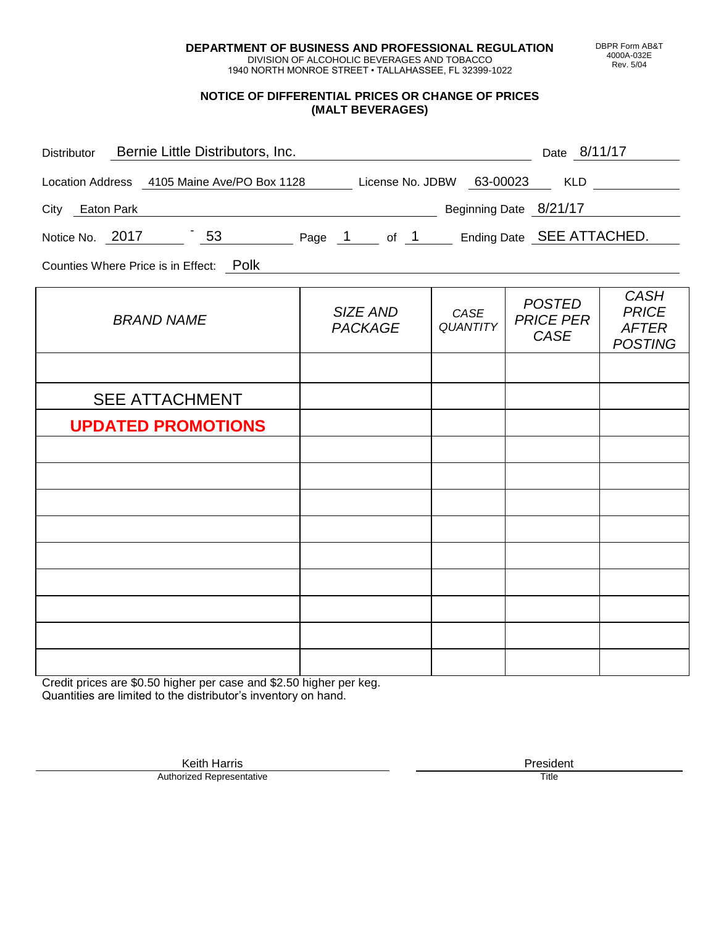**DEPARTMENT OF BUSINESS AND PROFESSIONAL REGULATION** DIVISION OF ALCOHOLIC BEVERAGES AND TOBACCO

1940 NORTH MONROE STREET • TALLAHASSEE, FL 32399-1022

### **NOTICE OF DIFFERENTIAL PRICES OR CHANGE OF PRICES (MALT BEVERAGES)**

|                            |                         | Date 8/11/17                              |                                                                                                                                                                 |
|----------------------------|-------------------------|-------------------------------------------|-----------------------------------------------------------------------------------------------------------------------------------------------------------------|
|                            |                         |                                           |                                                                                                                                                                 |
|                            |                         |                                           |                                                                                                                                                                 |
|                            |                         |                                           |                                                                                                                                                                 |
|                            |                         |                                           |                                                                                                                                                                 |
| SIZE AND<br><b>PACKAGE</b> | CASE<br><b>QUANTITY</b> | <b>POSTED</b><br><b>PRICE PER</b><br>CASE | <b>CASH</b><br><b>PRICE</b><br><b>AFTER</b><br><b>POSTING</b>                                                                                                   |
|                            |                         |                                           |                                                                                                                                                                 |
|                            |                         |                                           |                                                                                                                                                                 |
|                            |                         |                                           |                                                                                                                                                                 |
|                            |                         |                                           |                                                                                                                                                                 |
|                            |                         |                                           |                                                                                                                                                                 |
|                            |                         |                                           |                                                                                                                                                                 |
|                            |                         |                                           |                                                                                                                                                                 |
|                            |                         |                                           |                                                                                                                                                                 |
|                            |                         |                                           |                                                                                                                                                                 |
|                            |                         |                                           |                                                                                                                                                                 |
|                            |                         |                                           |                                                                                                                                                                 |
|                            |                         |                                           | Location Address 4105 Maine Ave/PO Box 1128 License No. JDBW 63-00023 KLD<br>Beginning Date 8/21/17<br>Notice No. 2017 53 Page 1 of 1 Ending Date SEE ATTACHED. |

Credit prices are \$0.50 higher per case and \$2.50 higher per keg. Quantities are limited to the distributor's inventory on hand.

> Keith Harris **President** President **President** President **President** President **President** Authorized Representative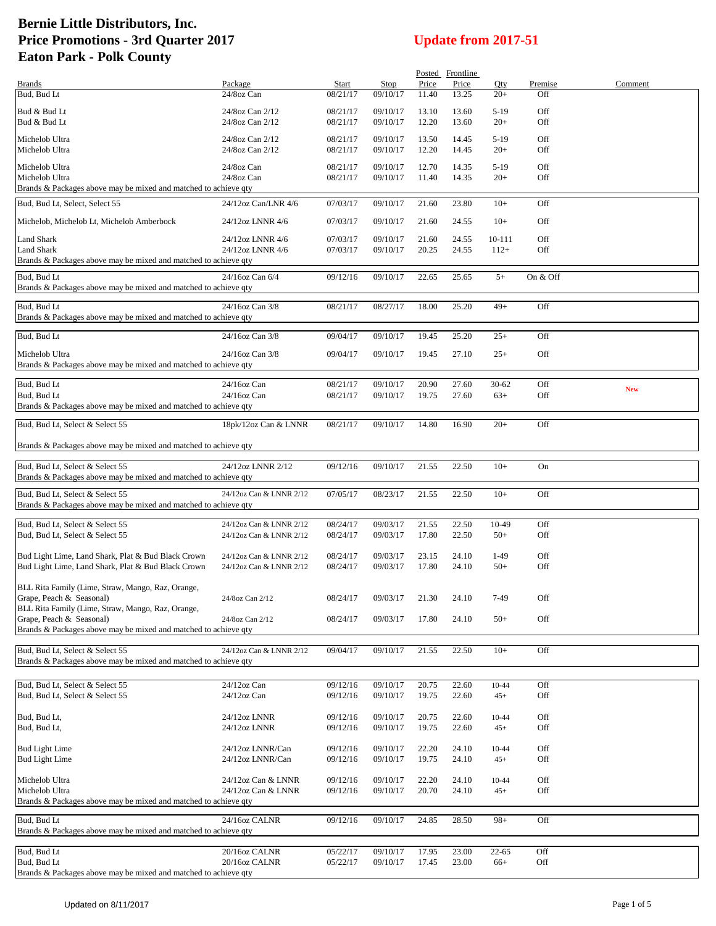|                                                                                                                                    |                                                    |                          |                      |                | Posted Frontline |                    |                |            |
|------------------------------------------------------------------------------------------------------------------------------------|----------------------------------------------------|--------------------------|----------------------|----------------|------------------|--------------------|----------------|------------|
| <b>Brands</b><br>Bud, Bud Lt                                                                                                       | Package<br>24/8oz Can                              | <b>Start</b><br>08/21/17 | Stop<br>09/10/17     | Price<br>11.40 | Price<br>13.25   | Qty<br>$20+$       | Premise<br>Off | Comment    |
| Bud & Bud Lt<br>Bud & Bud Lt                                                                                                       | 24/8oz Can 2/12<br>24/8oz Can 2/12                 | 08/21/17<br>08/21/17     | 09/10/17<br>09/10/17 | 13.10<br>12.20 | 13.60<br>13.60   | $5-19$<br>$20+$    | Off<br>Off     |            |
| Michelob Ultra<br>Michelob Ultra                                                                                                   | 24/8oz Can 2/12<br>24/8oz Can 2/12                 | 08/21/17<br>08/21/17     | 09/10/17<br>09/10/17 | 13.50<br>12.20 | 14.45<br>14.45   | $5-19$<br>$20+$    | Off<br>Off     |            |
| Michelob Ultra<br>Michelob Ultra<br>Brands & Packages above may be mixed and matched to achieve qty                                | 24/8oz Can<br>24/8oz Can                           | 08/21/17<br>08/21/17     | 09/10/17<br>09/10/17 | 12.70<br>11.40 | 14.35<br>14.35   | $5-19$<br>$20+$    | Off<br>Off     |            |
| Bud, Bud Lt, Select, Select 55                                                                                                     | 24/12oz Can/LNR 4/6                                | 07/03/17                 | 09/10/17             | 21.60          | 23.80            | $10+$              | Off            |            |
| Michelob, Michelob Lt, Michelob Amberbock                                                                                          | 24/12oz LNNR 4/6                                   | 07/03/17                 | 09/10/17             | 21.60          | 24.55            | $10+$              | Off            |            |
| <b>Land Shark</b><br>Land Shark<br>Brands & Packages above may be mixed and matched to achieve qty                                 | 24/12oz LNNR 4/6<br>24/12oz LNNR 4/6               | 07/03/17<br>07/03/17     | 09/10/17<br>09/10/17 | 21.60<br>20.25 | 24.55<br>24.55   | 10-111<br>$112+$   | Off<br>Off     |            |
| Bud, Bud Lt<br>Brands & Packages above may be mixed and matched to achieve qty                                                     | 24/16oz Can 6/4                                    | 09/12/16                 | 09/10/17             | 22.65          | 25.65            | $5+$               | On & Off       |            |
| Bud, Bud Lt<br>Brands & Packages above may be mixed and matched to achieve qty                                                     | 24/16oz Can 3/8                                    | 08/21/17                 | 08/27/17             | 18.00          | 25.20            | $49+$              | Off            |            |
| Bud, Bud Lt                                                                                                                        | 24/16oz Can 3/8                                    | 09/04/17                 | 09/10/17             | 19.45          | 25.20            | $25+$              | Off            |            |
| Michelob Ultra<br>Brands & Packages above may be mixed and matched to achieve qty                                                  | 24/16oz Can 3/8                                    | 09/04/17                 | 09/10/17             | 19.45          | 27.10            | $25+$              | Off            |            |
| Bud, Bud Lt<br>Bud, Bud Lt<br>Brands & Packages above may be mixed and matched to achieve qty                                      | 24/16oz Can<br>24/16oz Can                         | 08/21/17<br>08/21/17     | 09/10/17<br>09/10/17 | 20.90<br>19.75 | 27.60<br>27.60   | $30 - 62$<br>$63+$ | Off<br>Off     | <b>New</b> |
| Bud, Bud Lt, Select & Select 55                                                                                                    | 18pk/12oz Can & LNNR                               | 08/21/17                 | 09/10/17             | 14.80          | 16.90            | $20+$              | Off            |            |
| Brands & Packages above may be mixed and matched to achieve qty                                                                    |                                                    |                          |                      |                |                  |                    |                |            |
| Bud, Bud Lt, Select & Select 55<br>Brands & Packages above may be mixed and matched to achieve qty                                 | 24/12oz LNNR 2/12                                  | 09/12/16                 | 09/10/17             | 21.55          | 22.50            | $10+$              | On             |            |
| Bud, Bud Lt, Select & Select 55<br>Brands & Packages above may be mixed and matched to achieve qty                                 | 24/12oz Can & LNNR 2/12                            | 07/05/17                 | 08/23/17             | 21.55          | 22.50            | $10+$              | Off            |            |
| Bud, Bud Lt. Select & Select 55<br>Bud, Bud Lt, Select & Select 55                                                                 | 24/12oz Can & LNNR 2/12<br>24/12oz Can & LNNR 2/12 | 08/24/17<br>08/24/17     | 09/03/17<br>09/03/17 | 21.55<br>17.80 | 22.50<br>22.50   | 10-49<br>$50+$     | Off<br>Off     |            |
| Bud Light Lime, Land Shark, Plat & Bud Black Crown<br>Bud Light Lime, Land Shark, Plat & Bud Black Crown                           | 24/12oz Can & LNNR 2/12<br>24/12oz Can & LNNR 2/12 | 08/24/17<br>08/24/17     | 09/03/17<br>09/03/17 | 23.15<br>17.80 | 24.10<br>24.10   | 1-49<br>$50+$      | Off<br>Off     |            |
| BLL Rita Family (Lime, Straw, Mango, Raz, Orange,<br>Grape, Peach & Seasonal)<br>BLL Rita Family (Lime, Straw, Mango, Raz, Orange, | 24/8oz Can 2/12                                    | 08/24/17                 | 09/03/17             | 21.30          | 24.10            | 7-49               | Off            |            |
| Grape, Peach & Seasonal)<br>Brands & Packages above may be mixed and matched to achieve qty                                        | 24/8oz Can 2/12                                    | 08/24/17                 | 09/03/17             | 17.80          | 24.10            | $50+$              | Off            |            |
| Bud, Bud Lt, Select & Select 55                                                                                                    | 24/12oz Can & LNNR 2/12                            | 09/04/17                 | 09/10/17             | 21.55          | 22.50            | $10+$              | Off            |            |
| Brands & Packages above may be mixed and matched to achieve qty                                                                    |                                                    |                          |                      |                |                  |                    |                |            |
| Bud, Bud Lt, Select & Select 55<br>Bud, Bud Lt, Select & Select 55                                                                 | 24/12oz Can<br>24/12oz Can                         | 09/12/16<br>09/12/16     | 09/10/17<br>09/10/17 | 20.75<br>19.75 | 22.60<br>22.60   | $10 - 44$<br>$45+$ | Off<br>Off     |            |
| Bud, Bud Lt,<br>Bud, Bud Lt,                                                                                                       | 24/12oz LNNR<br>24/12oz LNNR                       | 09/12/16<br>09/12/16     | 09/10/17<br>09/10/17 | 20.75<br>19.75 | 22.60<br>22.60   | 10-44<br>$45+$     | Off<br>Off     |            |
| <b>Bud Light Lime</b><br><b>Bud Light Lime</b>                                                                                     | 24/12oz LNNR/Can<br>24/12oz LNNR/Can               | 09/12/16<br>09/12/16     | 09/10/17<br>09/10/17 | 22.20<br>19.75 | 24.10<br>24.10   | 10-44<br>$45+$     | Off<br>Off     |            |
| Michelob Ultra<br>Michelob Ultra                                                                                                   | 24/12oz Can & LNNR<br>24/12oz Can & LNNR           | 09/12/16<br>09/12/16     | 09/10/17<br>09/10/17 | 22.20<br>20.70 | 24.10<br>24.10   | 10-44<br>$45+$     | Off<br>Off     |            |
| Brands & Packages above may be mixed and matched to achieve qty                                                                    |                                                    |                          |                      |                |                  |                    |                |            |
| Bud, Bud Lt<br>Brands & Packages above may be mixed and matched to achieve qty                                                     | 24/16oz CALNR                                      | 09/12/16                 | 09/10/17             | 24.85          | 28.50            | $98+$              | Off            |            |
| Bud, Bud Lt<br>Bud, Bud Lt<br>Brands & Packages above may be mixed and matched to achieve qty                                      | 20/16oz CALNR<br>20/16oz CALNR                     | 05/22/17<br>05/22/17     | 09/10/17<br>09/10/17 | 17.95<br>17.45 | 23.00<br>23.00   | 22-65<br>66+       | Off<br>Off     |            |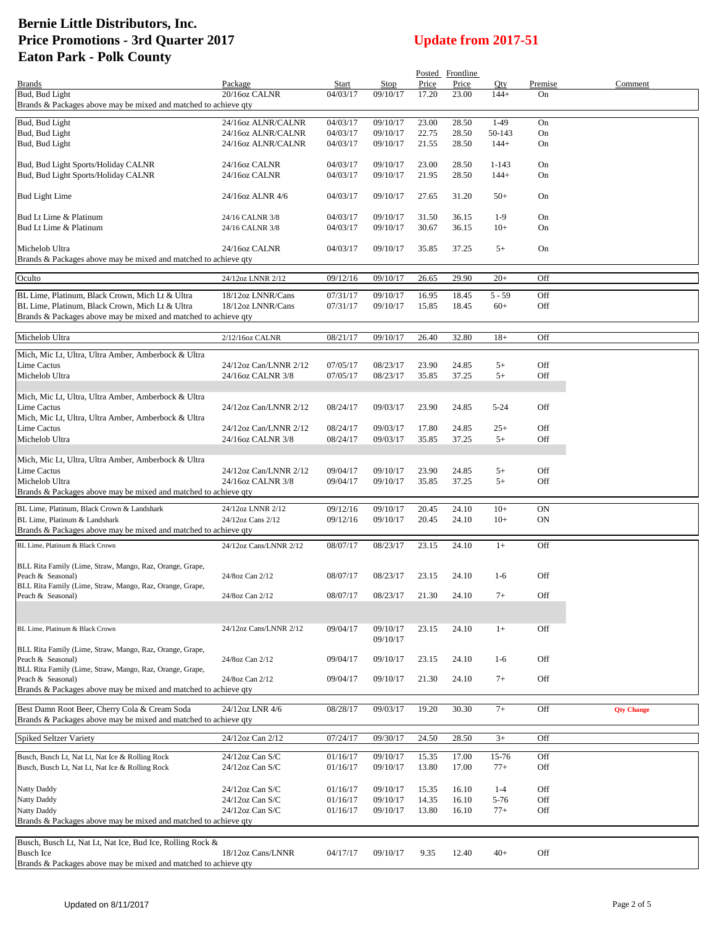|                                                                                   |                        |              |          |       | Posted Frontline |           |           |                   |
|-----------------------------------------------------------------------------------|------------------------|--------------|----------|-------|------------------|-----------|-----------|-------------------|
| <b>Brands</b>                                                                     | Package                | <b>Start</b> | Stop     | Price | Price            | Qty       | Premise   | Comment           |
| Bud, Bud Light<br>Brands & Packages above may be mixed and matched to achieve qty | 20/16oz CALNR          | 04/03/17     | 09/10/17 | 17.20 | 23.00            | $144+$    | On        |                   |
|                                                                                   |                        |              |          |       |                  |           |           |                   |
| Bud, Bud Light                                                                    | 24/16oz ALNR/CALNR     | 04/03/17     | 09/10/17 | 23.00 | 28.50            | $1-49$    | On        |                   |
| Bud, Bud Light                                                                    | 24/16oz ALNR/CALNR     | 04/03/17     | 09/10/17 | 22.75 | 28.50            | 50-143    | On        |                   |
| Bud, Bud Light                                                                    | 24/16oz ALNR/CALNR     | 04/03/17     | 09/10/17 | 21.55 | 28.50            | $144+$    | On        |                   |
| Bud, Bud Light Sports/Holiday CALNR                                               | 24/16oz CALNR          | 04/03/17     | 09/10/17 | 23.00 | 28.50            | $1 - 143$ | On        |                   |
| Bud, Bud Light Sports/Holiday CALNR                                               | 24/16oz CALNR          | 04/03/17     | 09/10/17 | 21.95 | 28.50            | $144+$    | On        |                   |
|                                                                                   |                        |              |          |       |                  |           |           |                   |
| <b>Bud Light Lime</b>                                                             | 24/16oz ALNR 4/6       | 04/03/17     | 09/10/17 | 27.65 | 31.20            | $50+$     | On        |                   |
|                                                                                   |                        |              |          |       |                  |           |           |                   |
| Bud Lt Lime & Platinum                                                            | 24/16 CALNR 3/8        | 04/03/17     | 09/10/17 | 31.50 | 36.15            | $1-9$     | On        |                   |
| Bud Lt Lime & Platinum                                                            | 24/16 CALNR 3/8        | 04/03/17     | 09/10/17 | 30.67 | 36.15            | $10+$     | On        |                   |
| Michelob Ultra                                                                    | 24/16oz CALNR          | 04/03/17     | 09/10/17 | 35.85 | 37.25            | $5+$      | On        |                   |
| Brands & Packages above may be mixed and matched to achieve qty                   |                        |              |          |       |                  |           |           |                   |
|                                                                                   |                        |              |          |       |                  |           |           |                   |
| Oculto                                                                            | 24/12oz LNNR 2/12      | 09/12/16     | 09/10/17 | 26.65 | 29.90            | $20+$     | Off       |                   |
| BL Lime, Platinum, Black Crown, Mich Lt & Ultra                                   | 18/12oz LNNR/Cans      | 07/31/17     | 09/10/17 | 16.95 | 18.45            | $5 - 59$  | Off       |                   |
| BL Lime, Platinum, Black Crown, Mich Lt & Ultra                                   | 18/12oz LNNR/Cans      | 07/31/17     | 09/10/17 | 15.85 | 18.45            | $60+$     | Off       |                   |
| Brands & Packages above may be mixed and matched to achieve qty                   |                        |              |          |       |                  |           |           |                   |
|                                                                                   |                        |              |          |       |                  |           |           |                   |
| Michelob Ultra                                                                    | 2/12/16oz CALNR        | 08/21/17     | 09/10/17 | 26.40 | 32.80            | $18+$     | Off       |                   |
| Mich, Mic Lt, Ultra, Ultra Amber, Amberbock & Ultra                               |                        |              |          |       |                  |           |           |                   |
| Lime Cactus                                                                       | 24/12oz Can/LNNR 2/12  | 07/05/17     | 08/23/17 | 23.90 | 24.85            | $5+$      | Off       |                   |
| Michelob Ultra                                                                    | 24/16oz CALNR 3/8      | 07/05/17     | 08/23/17 | 35.85 | 37.25            | $5+$      | Off       |                   |
|                                                                                   |                        |              |          |       |                  |           |           |                   |
| Mich, Mic Lt, Ultra, Ultra Amber, Amberbock & Ultra                               |                        |              |          |       |                  |           |           |                   |
| <b>Lime Cactus</b>                                                                | 24/12oz Can/LNNR 2/12  | 08/24/17     | 09/03/17 | 23.90 | 24.85            | $5 - 24$  | Off       |                   |
| Mich, Mic Lt, Ultra, Ultra Amber, Amberbock & Ultra                               |                        |              |          |       |                  |           |           |                   |
| Lime Cactus                                                                       | 24/12oz Can/LNNR 2/12  | 08/24/17     | 09/03/17 | 17.80 | 24.85            | $25+$     | Off       |                   |
| Michelob Ultra                                                                    | 24/16oz CALNR 3/8      | 08/24/17     | 09/03/17 | 35.85 | 37.25            | $5+$      | Off       |                   |
| Mich, Mic Lt, Ultra, Ultra Amber, Amberbock & Ultra                               |                        |              |          |       |                  |           |           |                   |
| <b>Lime Cactus</b>                                                                | 24/12oz Can/LNNR 2/12  | 09/04/17     | 09/10/17 | 23.90 | 24.85            | $5+$      | Off       |                   |
| Michelob Ultra                                                                    | 24/16oz CALNR 3/8      | 09/04/17     | 09/10/17 | 35.85 | 37.25            | $5+$      | Off       |                   |
| Brands & Packages above may be mixed and matched to achieve qty                   |                        |              |          |       |                  |           |           |                   |
| BL Lime, Platinum, Black Crown & Landshark                                        | 24/12oz LNNR 2/12      | 09/12/16     | 09/10/17 | 20.45 | 24.10            | $10+$     | <b>ON</b> |                   |
| BL Lime, Platinum & Landshark                                                     | 24/12oz Cans 2/12      | 09/12/16     | 09/10/17 | 20.45 | 24.10            | $10+$     | <b>ON</b> |                   |
| Brands & Packages above may be mixed and matched to achieve qty                   |                        |              |          |       |                  |           |           |                   |
| BL Lime, Platinum & Black Crown                                                   | 24/12oz Cans/LNNR 2/12 | 08/07/17     | 08/23/17 | 23.15 | 24.10            | $1+$      | Off       |                   |
|                                                                                   |                        |              |          |       |                  |           |           |                   |
| BLL Rita Family (Lime, Straw, Mango, Raz, Orange, Grape,                          |                        |              |          |       |                  |           |           |                   |
| Peach & Seasonal)                                                                 | 24/8oz Can 2/12        | 08/07/17     | 08/23/17 | 23.15 | 24.10            | $1-6$     | Off       |                   |
| BLL Rita Family (Lime, Straw, Mango, Raz, Orange, Grape,                          |                        |              |          |       |                  |           |           |                   |
| Peach & Seasonal)                                                                 | 24/8oz Can 2/12        | 08/07/17     | 08/23/17 | 21.30 | 24.10            | $7+$      | Off       |                   |
|                                                                                   |                        |              |          |       |                  |           |           |                   |
| BL Lime, Platinum & Black Crown                                                   | 24/12oz Cans/LNNR 2/12 | 09/04/17     | 09/10/17 | 23.15 | 24.10            | $1+$      | Off       |                   |
|                                                                                   |                        |              | 09/10/17 |       |                  |           |           |                   |
| BLL Rita Family (Lime, Straw, Mango, Raz, Orange, Grape,                          |                        |              |          |       |                  |           |           |                   |
| Peach & Seasonal)                                                                 | 24/8oz Can 2/12        | 09/04/17     | 09/10/17 | 23.15 | 24.10            | $1-6$     | Off       |                   |
| BLL Rita Family (Lime, Straw, Mango, Raz, Orange, Grape,                          |                        |              |          |       |                  |           |           |                   |
| Peach & Seasonal)                                                                 | 24/8oz Can 2/12        | 09/04/17     | 09/10/17 | 21.30 | 24.10            | $7+$      | Off       |                   |
| Brands & Packages above may be mixed and matched to achieve qty                   |                        |              |          |       |                  |           |           |                   |
| Best Damn Root Beer, Cherry Cola & Cream Soda                                     | 24/12oz LNR 4/6        | 08/28/17     | 09/03/17 | 19.20 | 30.30            | $7+$      | Off       | <b>Qty Change</b> |
| Brands & Packages above may be mixed and matched to achieve qty                   |                        |              |          |       |                  |           |           |                   |
|                                                                                   |                        |              |          |       |                  |           |           |                   |
| Spiked Seltzer Variety                                                            | 24/12oz Can 2/12       | 07/24/17     | 09/30/17 | 24.50 | 28.50            | $3+$      | Off       |                   |
| Busch, Busch Lt, Nat Lt, Nat Ice & Rolling Rock                                   | $24/12$ oz Can S/C     | 01/16/17     | 09/10/17 | 15.35 | 17.00            | 15-76     | Off       |                   |
| Busch, Busch Lt, Nat Lt, Nat Ice & Rolling Rock                                   | $24/12$ oz Can S/C     | 01/16/17     | 09/10/17 | 13.80 | 17.00            | $77+$     | Off       |                   |
|                                                                                   |                        |              |          |       |                  |           |           |                   |
| Natty Daddy                                                                       | $24/12$ oz Can S/C     | 01/16/17     | 09/10/17 | 15.35 | 16.10            | $1-4$     | Off       |                   |
| Natty Daddy                                                                       | 24/12oz Can S/C        | 01/16/17     | 09/10/17 | 14.35 | 16.10            | $5 - 76$  | Off       |                   |
| Natty Daddy                                                                       | 24/12oz Can S/C        | 01/16/17     | 09/10/17 | 13.80 | 16.10            | $77+$     | Off       |                   |
| Brands & Packages above may be mixed and matched to achieve qty                   |                        |              |          |       |                  |           |           |                   |
| Busch, Busch Lt, Nat Lt, Nat Ice, Bud Ice, Rolling Rock &                         |                        |              |          |       |                  |           |           |                   |
| <b>Busch Ice</b>                                                                  | 18/12oz Cans/LNNR      | 04/17/17     | 09/10/17 | 9.35  | 12.40            | $40+$     | Off       |                   |
| Brands & Packages above may be mixed and matched to achieve qty                   |                        |              |          |       |                  |           |           |                   |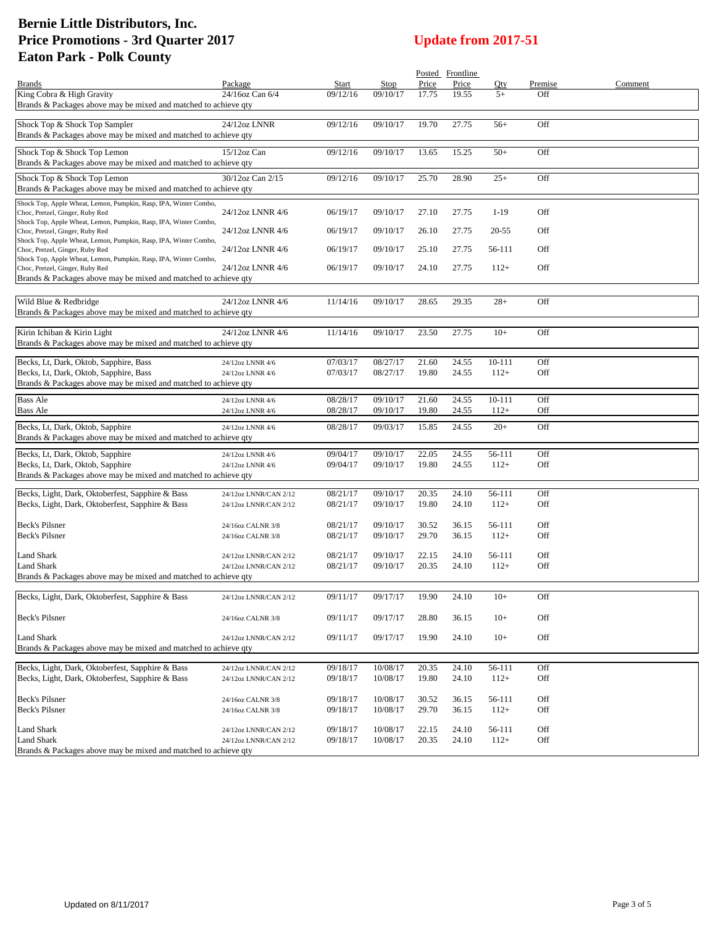|                                                                                                     |                       |          |          |       | Posted Frontline |            |         |         |
|-----------------------------------------------------------------------------------------------------|-----------------------|----------|----------|-------|------------------|------------|---------|---------|
| <b>Brands</b>                                                                                       | Package               | Start    | Stop     | Price | Price            | Oty        | Premise | Comment |
| King Cobra & High Gravity                                                                           | 24/16oz Can 6/4       | 09/12/16 | 09/10/17 | 17.75 | 19.55            | $5+$       | Off     |         |
| Brands & Packages above may be mixed and matched to achieve qty                                     |                       |          |          |       |                  |            |         |         |
| Shock Top & Shock Top Sampler                                                                       | 24/12oz LNNR          | 09/12/16 | 09/10/17 | 19.70 | 27.75            | $56+$      | Off     |         |
| Brands & Packages above may be mixed and matched to achieve qty                                     |                       |          |          |       |                  |            |         |         |
| Shock Top & Shock Top Lemon                                                                         | $15/12$ oz Can        | 09/12/16 | 09/10/17 | 13.65 | 15.25            | $50+$      | Off     |         |
| Brands & Packages above may be mixed and matched to achieve qty                                     |                       |          |          |       |                  |            |         |         |
| Shock Top & Shock Top Lemon                                                                         | 30/12oz Can 2/15      | 09/12/16 | 09/10/17 | 25.70 | 28.90            | $25+$      | Off     |         |
| Brands & Packages above may be mixed and matched to achieve qty                                     |                       |          |          |       |                  |            |         |         |
| Shock Top, Apple Wheat, Lemon, Pumpkin, Rasp, IPA, Winter Combo,                                    |                       |          |          |       |                  |            |         |         |
| Choc, Pretzel, Ginger, Ruby Red<br>Shock Top, Apple Wheat, Lemon, Pumpkin, Rasp, IPA, Winter Combo, | 24/12oz LNNR 4/6      | 06/19/17 | 09/10/17 | 27.10 | 27.75            | $1-19$     | Off     |         |
| Choc, Pretzel, Ginger, Ruby Red                                                                     | 24/12oz LNNR 4/6      | 06/19/17 | 09/10/17 | 26.10 | 27.75            | 20-55      | Off     |         |
| Shock Top, Apple Wheat, Lemon, Pumpkin, Rasp, IPA, Winter Combo,<br>Choc, Pretzel, Ginger, Ruby Red |                       |          |          |       |                  |            | Off     |         |
| Shock Top, Apple Wheat, Lemon, Pumpkin, Rasp, IPA, Winter Combo,                                    | 24/12oz LNNR 4/6      | 06/19/17 | 09/10/17 | 25.10 | 27.75            | 56-111     |         |         |
| Choc, Pretzel, Ginger, Ruby Red                                                                     | 24/12oz LNNR 4/6      | 06/19/17 | 09/10/17 | 24.10 | 27.75            | $112+$     | Off     |         |
| Brands & Packages above may be mixed and matched to achieve qty                                     |                       |          |          |       |                  |            |         |         |
| Wild Blue & Redbridge                                                                               | 24/12oz LNNR 4/6      | 11/14/16 | 09/10/17 | 28.65 | 29.35            | $28+$      | Off     |         |
| Brands & Packages above may be mixed and matched to achieve qty                                     |                       |          |          |       |                  |            |         |         |
|                                                                                                     |                       |          |          |       |                  |            |         |         |
| Kirin Ichiban & Kirin Light<br>Brands & Packages above may be mixed and matched to achieve qty      | 24/12oz LNNR 4/6      | 11/14/16 | 09/10/17 | 23.50 | 27.75            | $10+$      | Off     |         |
|                                                                                                     |                       |          |          |       |                  |            |         |         |
| Becks, Lt, Dark, Oktob, Sapphire, Bass                                                              | 24/12oz LNNR 4/6      | 07/03/17 | 08/27/17 | 21.60 | 24.55            | 10-111     | Off     |         |
| Becks, Lt, Dark, Oktob, Sapphire, Bass                                                              | 24/12oz LNNR 4/6      | 07/03/17 | 08/27/17 | 19.80 | 24.55            | $112+$     | Off     |         |
| Brands & Packages above may be mixed and matched to achieve qty                                     |                       |          |          |       |                  |            |         |         |
| <b>Bass Ale</b>                                                                                     | 24/12oz LNNR 4/6      | 08/28/17 | 09/10/17 | 21.60 | 24.55            | $10 - 111$ | Off     |         |
| <b>Bass Ale</b>                                                                                     | 24/12oz LNNR 4/6      | 08/28/17 | 09/10/17 | 19.80 | 24.55            | $112+$     | Off     |         |
| Becks, Lt, Dark, Oktob, Sapphire                                                                    | 24/12oz LNNR 4/6      | 08/28/17 | 09/03/17 | 15.85 | 24.55            | $20+$      | Off     |         |
| Brands & Packages above may be mixed and matched to achieve qty                                     |                       |          |          |       |                  |            |         |         |
| Becks, Lt, Dark, Oktob, Sapphire                                                                    | 24/12oz LNNR 4/6      | 09/04/17 | 09/10/17 | 22.05 | 24.55            | 56-111     | Off     |         |
| Becks, Lt, Dark, Oktob, Sapphire<br>Brands & Packages above may be mixed and matched to achieve qty | 24/12oz LNNR 4/6      | 09/04/17 | 09/10/17 | 19.80 | 24.55            | $112+$     | Off     |         |
|                                                                                                     |                       |          |          |       |                  |            |         |         |
| Becks, Light, Dark, Oktoberfest, Sapphire & Bass                                                    | 24/12oz LNNR/CAN 2/12 | 08/21/17 | 09/10/17 | 20.35 | 24.10            | 56-111     | Off     |         |
| Becks, Light, Dark, Oktoberfest, Sapphire & Bass                                                    | 24/12oz LNNR/CAN 2/12 | 08/21/17 | 09/10/17 | 19.80 | 24.10            | $112+$     | Off     |         |
| Beck's Pilsner                                                                                      | 24/16oz CALNR 3/8     | 08/21/17 | 09/10/17 | 30.52 | 36.15            | 56-111     | Off     |         |
| Beck's Pilsner                                                                                      | 24/16oz CALNR 3/8     | 08/21/17 | 09/10/17 | 29.70 | 36.15            | $112+$     | Off     |         |
| Land Shark                                                                                          | 24/12oz LNNR/CAN 2/12 | 08/21/17 | 09/10/17 | 22.15 | 24.10            | 56-111     | Off     |         |
| <b>Land Shark</b>                                                                                   | 24/12oz LNNR/CAN 2/12 | 08/21/17 | 09/10/17 | 20.35 | 24.10            | $112+$     | Off     |         |
| Brands & Packages above may be mixed and matched to achieve qty                                     |                       |          |          |       |                  |            |         |         |
| Becks, Light, Dark, Oktoberfest, Sapphire & Bass                                                    | 24/12oz LNNR/CAN 2/12 | 09/11/17 | 09/17/17 | 19.90 | 24.10            | $10+$      | Off     |         |
|                                                                                                     |                       |          |          |       |                  |            |         |         |
| Beck's Pilsner                                                                                      | 24/16oz CALNR 3/8     | 09/11/17 | 09/17/17 | 28.80 | 36.15            | $10+$      | Off     |         |
| <b>Land Shark</b>                                                                                   | 24/12oz LNNR/CAN 2/12 | 09/11/17 | 09/17/17 | 19.90 | 24.10            | $10+$      | Off     |         |
| Brands & Packages above may be mixed and matched to achieve qty                                     |                       |          |          |       |                  |            |         |         |
|                                                                                                     |                       |          |          |       |                  |            |         |         |
| Becks, Light, Dark, Oktoberfest, Sapphire & Bass                                                    | 24/12oz LNNR/CAN 2/12 | 09/18/17 | 10/08/17 | 20.35 | 24.10            | 56-111     | Off     |         |
| Becks, Light, Dark, Oktoberfest, Sapphire & Bass                                                    | 24/12oz LNNR/CAN 2/12 | 09/18/17 | 10/08/17 | 19.80 | 24.10            | $112+$     | Off     |         |
| Beck's Pilsner                                                                                      | 24/16oz CALNR 3/8     | 09/18/17 | 10/08/17 | 30.52 | 36.15            | 56-111     | Off     |         |
| <b>Beck's Pilsner</b>                                                                               | 24/16oz CALNR 3/8     | 09/18/17 | 10/08/17 | 29.70 | 36.15            | $112+$     | Off     |         |
| <b>Land Shark</b>                                                                                   | 24/12oz LNNR/CAN 2/12 | 09/18/17 | 10/08/17 | 22.15 | 24.10            | 56-111     | Off     |         |
| <b>Land Shark</b>                                                                                   | 24/12oz LNNR/CAN 2/12 | 09/18/17 | 10/08/17 | 20.35 | 24.10            | $112+$     | Off     |         |
| Brands & Packages above may be mixed and matched to achieve qty                                     |                       |          |          |       |                  |            |         |         |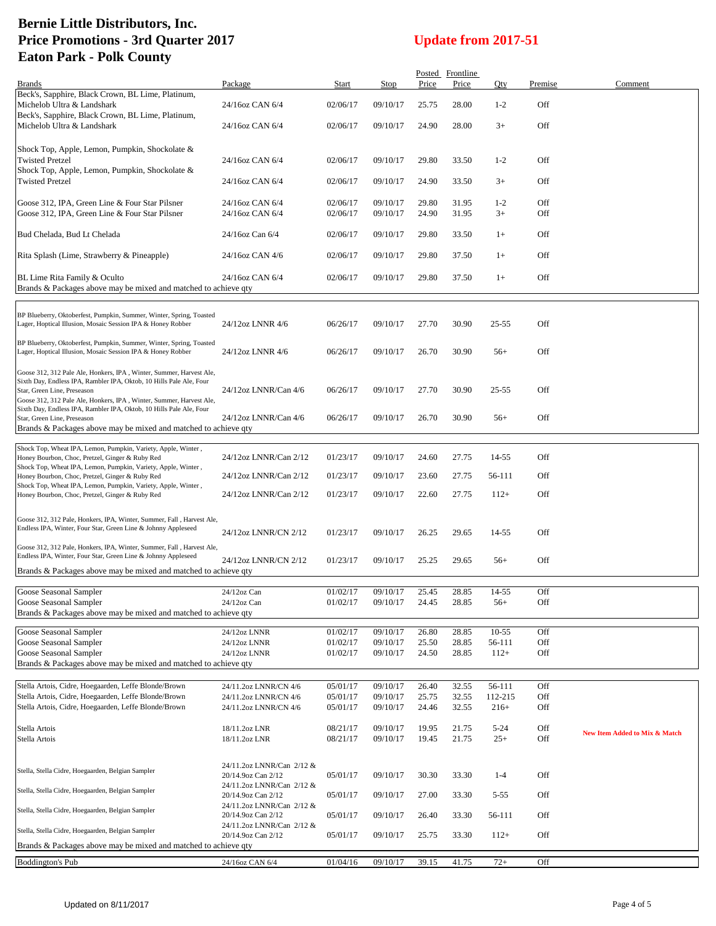|                                                                                                                                        |                                                 |                      |                      |                | Posted Frontline |                     |            |                               |
|----------------------------------------------------------------------------------------------------------------------------------------|-------------------------------------------------|----------------------|----------------------|----------------|------------------|---------------------|------------|-------------------------------|
| <b>Brands</b>                                                                                                                          | Package                                         | Start                | Stop                 | Price          | Price            | Qty                 | Premise    | Comment                       |
| Beck's, Sapphire, Black Crown, BL Lime, Platinum,<br>Michelob Ultra & Landshark                                                        | 24/16oz CAN 6/4                                 | 02/06/17             | 09/10/17             | 25.75          | 28.00            | $1 - 2$             | Off        |                               |
| Beck's, Sapphire, Black Crown, BL Lime, Platinum,<br>Michelob Ultra & Landshark                                                        | 24/16oz CAN 6/4                                 | 02/06/17             | 09/10/17             | 24.90          | 28.00            | $3+$                | Off        |                               |
|                                                                                                                                        |                                                 |                      |                      |                |                  |                     |            |                               |
| Shock Top, Apple, Lemon, Pumpkin, Shockolate &<br><b>Twisted Pretzel</b>                                                               | 24/16oz CAN 6/4                                 | 02/06/17             | 09/10/17             | 29.80          | 33.50            | $1 - 2$             | Off        |                               |
| Shock Top, Apple, Lemon, Pumpkin, Shockolate &<br><b>Twisted Pretzel</b>                                                               | 24/16oz CAN 6/4                                 | 02/06/17             | 09/10/17             | 24.90          | 33.50            | $3+$                | Off        |                               |
|                                                                                                                                        |                                                 |                      |                      |                |                  |                     |            |                               |
| Goose 312, IPA, Green Line & Four Star Pilsner<br>Goose 312, IPA, Green Line & Four Star Pilsner                                       | 24/16oz CAN 6/4<br>24/16oz CAN 6/4              | 02/06/17<br>02/06/17 | 09/10/17<br>09/10/17 | 29.80<br>24.90 | 31.95<br>31.95   | $1-2$<br>$3+$       | Off<br>Off |                               |
| Bud Chelada, Bud Lt Chelada                                                                                                            | 24/16oz Can 6/4                                 | 02/06/17             | 09/10/17             | 29.80          | 33.50            | $1+$                | Off        |                               |
| Rita Splash (Lime, Strawberry & Pineapple)                                                                                             | 24/16oz CAN 4/6                                 | 02/06/17             | 09/10/17             | 29.80          | 37.50            | $1+$                | Off        |                               |
| BL Lime Rita Family & Oculto<br>Brands & Packages above may be mixed and matched to achieve qty                                        | 24/16oz CAN 6/4                                 | 02/06/17             | 09/10/17             | 29.80          | 37.50            | $1+$                | Off        |                               |
|                                                                                                                                        |                                                 |                      |                      |                |                  |                     |            |                               |
| BP Blueberry, Oktoberfest, Pumpkin, Summer, Winter, Spring, Toasted<br>Lager, Hoptical Illusion, Mosaic Session IPA & Honey Robber     | 24/12oz LNNR 4/6                                | 06/26/17             | 09/10/17             | 27.70          | 30.90            | 25-55               | Off        |                               |
| BP Blueberry, Oktoberfest, Pumpkin, Summer, Winter, Spring, Toasted                                                                    |                                                 |                      |                      |                |                  |                     |            |                               |
| Lager, Hoptical Illusion, Mosaic Session IPA & Honey Robber                                                                            | 24/12oz LNNR 4/6                                | 06/26/17             | 09/10/17             | 26.70          | 30.90            | $56+$               | Off        |                               |
| Goose 312, 312 Pale Ale, Honkers, IPA, Winter, Summer, Harvest Ale,                                                                    |                                                 |                      |                      |                |                  |                     |            |                               |
| Sixth Day, Endless IPA, Rambler IPA, Oktob, 10 Hills Pale Ale, Four                                                                    |                                                 |                      |                      |                |                  |                     |            |                               |
| Star, Green Line, Preseason<br>Goose 312, 312 Pale Ale, Honkers, IPA, Winter, Summer, Harvest Ale,                                     | 24/12oz LNNR/Can 4/6                            | 06/26/17             | 09/10/17             | 27.70          | 30.90            | 25-55               | Off        |                               |
| Sixth Day, Endless IPA, Rambler IPA, Oktob, 10 Hills Pale Ale, Four                                                                    |                                                 |                      |                      |                |                  |                     |            |                               |
| Star, Green Line, Preseason                                                                                                            | 24/12oz LNNR/Can 4/6                            | 06/26/17             | 09/10/17             | 26.70          | 30.90            | $56+$               | Off        |                               |
| Brands & Packages above may be mixed and matched to achieve qty                                                                        |                                                 |                      |                      |                |                  |                     |            |                               |
| Shock Top, Wheat IPA, Lemon, Pumpkin, Variety, Apple, Winter,                                                                          |                                                 |                      |                      |                |                  |                     |            |                               |
| Honey Bourbon, Choc, Pretzel, Ginger & Ruby Red                                                                                        | 24/12oz LNNR/Can 2/12                           | 01/23/17             | 09/10/17             | 24.60          | 27.75            | 14-55               | Off        |                               |
| Shock Top, Wheat IPA, Lemon, Pumpkin, Variety, Apple, Winter,<br>Honey Bourbon, Choc, Pretzel, Ginger & Ruby Red                       | 24/12oz LNNR/Can 2/12                           | 01/23/17             | 09/10/17             | 23.60          | 27.75            | 56-111              | Off        |                               |
| Shock Top, Wheat IPA, Lemon, Pumpkin, Variety, Apple, Winter,                                                                          |                                                 |                      |                      |                |                  |                     |            |                               |
| Honey Bourbon, Choc, Pretzel, Ginger & Ruby Red                                                                                        | 24/12oz LNNR/Can 2/12                           | 01/23/17             | 09/10/17             | 22.60          | 27.75            | $112+$              | Off        |                               |
|                                                                                                                                        |                                                 |                      |                      |                |                  |                     |            |                               |
| Goose 312, 312 Pale, Honkers, IPA, Winter, Summer, Fall, Harvest Ale,<br>Endless IPA, Winter, Four Star, Green Line & Johnny Appleseed |                                                 |                      |                      |                |                  |                     |            |                               |
|                                                                                                                                        | 24/12oz LNNR/CN 2/12                            | 01/23/17             | 09/10/17             | 26.25          | 29.65            | 14-55               | Off        |                               |
| Goose 312, 312 Pale, Honkers, IPA, Winter, Summer, Fall, Harvest Ale,<br>Endless IPA, Winter, Four Star, Green Line & Johnny Appleseed |                                                 |                      |                      |                |                  |                     |            |                               |
|                                                                                                                                        | 24/12oz LNNR/CN 2/12                            | 01/23/17             | 09/10/17             | 25.25          | 29.65            | $56+$               | Off        |                               |
| Brands & Packages above may be mixed and matched to achieve qty                                                                        |                                                 |                      |                      |                |                  |                     |            |                               |
| Goose Seasonal Sampler                                                                                                                 | 24/12oz Can                                     | 01/02/17             | 09/10/17             | 25.45          | 28.85            | 14-55               | Off        |                               |
| Goose Seasonal Sampler                                                                                                                 | 24/12oz Can                                     | 01/02/17             | 09/10/17             | 24.45          | 28.85            | $56+$               | Off        |                               |
| Brands & Packages above may be mixed and matched to achieve qty                                                                        |                                                 |                      |                      |                |                  |                     |            |                               |
|                                                                                                                                        |                                                 |                      |                      |                |                  |                     |            |                               |
| Goose Seasonal Sampler<br>Goose Seasonal Sampler                                                                                       | 24/12oz LNNR<br>24/12oz LNNR                    | 01/02/17<br>01/02/17 | 09/10/17<br>09/10/17 | 26.80<br>25.50 | 28.85<br>28.85   | $10 - 55$<br>56-111 | Off<br>Off |                               |
| Goose Seasonal Sampler                                                                                                                 | 24/12oz LNNR                                    | 01/02/17             | 09/10/17             | 24.50          | 28.85            | $112+$              | Off        |                               |
| Brands & Packages above may be mixed and matched to achieve qty                                                                        |                                                 |                      |                      |                |                  |                     |            |                               |
|                                                                                                                                        |                                                 |                      |                      |                |                  |                     |            |                               |
| Stella Artois, Cidre, Hoegaarden, Leffe Blonde/Brown                                                                                   | 24/11.2oz LNNR/CN 4/6                           | 05/01/17             | 09/10/17             | 26.40          | 32.55            | 56-111              | Off        |                               |
| Stella Artois, Cidre, Hoegaarden, Leffe Blonde/Brown                                                                                   | 24/11.2oz LNNR/CN 4/6                           | 05/01/17             | 09/10/17             | 25.75          | 32.55            | 112-215             | Off        |                               |
| Stella Artois, Cidre, Hoegaarden, Leffe Blonde/Brown                                                                                   | 24/11.2oz LNNR/CN 4/6                           | 05/01/17             | 09/10/17             | 24.46          | 32.55            | $216+$              | Off        |                               |
| Stella Artois                                                                                                                          | 18/11.2oz LNR                                   | 08/21/17             | 09/10/17             | 19.95          | 21.75            | $5 - 24$            | Off        |                               |
| Stella Artois                                                                                                                          | 18/11.2oz LNR                                   | 08/21/17             | 09/10/17             | 19.45          | 21.75            | $25+$               | Off        | New Item Added to Mix & Match |
|                                                                                                                                        |                                                 |                      |                      |                |                  |                     |            |                               |
|                                                                                                                                        | 24/11.2oz LNNR/Can 2/12 &                       |                      |                      |                |                  |                     |            |                               |
| Stella, Stella Cidre, Hoegaarden, Belgian Sampler                                                                                      | 20/14.9oz Can 2/12                              | 05/01/17             | 09/10/17             | 30.30          | 33.30            | $1-4$               | Off        |                               |
| Stella, Stella Cidre, Hoegaarden, Belgian Sampler                                                                                      | 24/11.2oz LNNR/Can 2/12 &                       |                      |                      |                |                  |                     |            |                               |
|                                                                                                                                        | 20/14.9oz Can 2/12<br>24/11.2oz LNNR/Can 2/12 & | 05/01/17             | 09/10/17             | 27.00          | 33.30            | $5-55$              | Off        |                               |
| Stella, Stella Cidre, Hoegaarden, Belgian Sampler                                                                                      | 20/14.9oz Can 2/12                              | 05/01/17             | 09/10/17             | 26.40          | 33.30            | 56-111              | Off        |                               |
| Stella, Stella Cidre, Hoegaarden, Belgian Sampler                                                                                      | 24/11.2oz LNNR/Can 2/12 &                       |                      |                      |                |                  |                     |            |                               |
| Brands & Packages above may be mixed and matched to achieve qty                                                                        | 20/14.9oz Can 2/12                              | 05/01/17             | 09/10/17             | 25.75          | 33.30            | $112+$              | Off        |                               |
| <b>Boddington's Pub</b>                                                                                                                | 24/16oz CAN 6/4                                 | 01/04/16             | 09/10/17             | 39.15          | 41.75            | $72+$               | Off        |                               |
|                                                                                                                                        |                                                 |                      |                      |                |                  |                     |            |                               |